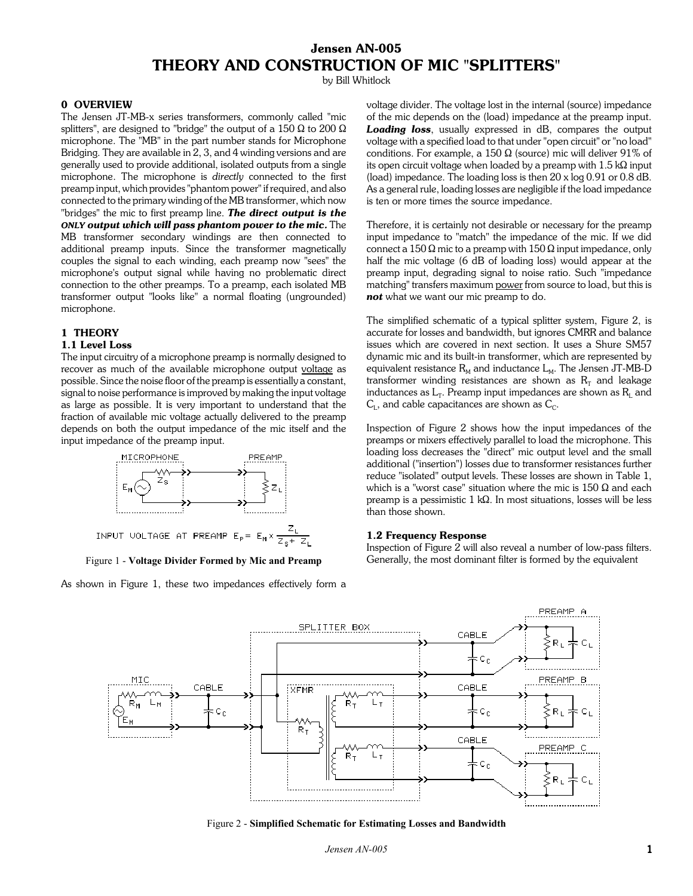# **Jensen AN-005 THEORY AND CONSTRUCTION OF MIC "SPLITTERS"**

by Bill Whitlock

# **0 OVERVIEW**

The Jensen JT-MB-x series transformers, commonly called "mic splitters", are designed to "bridge" the output of a 150  $\Omega$  to 200  $\Omega$ microphone. The "MB" in the part number stands for Microphone Bridging. They are available in 2, 3, and 4 winding versions and are generally used to provide additional, isolated outputs from a single microphone. The microphone is *directly* connected to the first preamp input, which provides "phantom power" if required, and also connected to the primary winding of the MB transformer, which now "bridges" the mic to first preamp line. *The direct output is the ONLY output which will pass phantom power to the mic.* The MB transformer secondary windings are then connected to additional preamp inputs. Since the transformer magnetically couples the signal to each winding, each preamp now "sees" the microphone's output signal while having no problematic direct connection to the other preamps. To a preamp, each isolated MB transformer output "looks like" a normal floating (ungrounded) microphone.

#### **1 THEORY**

#### **1.1 Level Loss**

The input circuitry of a microphone preamp is normally designed to recover as much of the available microphone output voltage as possible. Since the noise floor of the preamp is essentially a constant, signal to noise performance is improved by making the input voltage as large as possible. It is very important to understand that the fraction of available mic voltage actually delivered to the preamp depends on both the output impedance of the mic itself and the input impedance of the preamp input.



Figure 1 - **Voltage Divider Formed by Mic and Preamp**

As shown in Figure 1, these two impedances effectively form a

voltage divider. The voltage lost in the internal (source) impedance of the mic depends on the (load) impedance at the preamp input. *Loading loss*, usually expressed in dB, compares the output voltage with a specified load to that under "open circuit" or "no load" conditions. For example, a 150  $\Omega$  (source) mic will deliver 91% of its open circuit voltage when loaded by a preamp with  $1.5 \text{ k}\Omega$  input (load) impedance. The loading loss is then 20 x log 0.91 or 0.8 dB. As a general rule, loading losses are negligible if the load impedance is ten or more times the source impedance.

Therefore, it is certainly not desirable or necessary for the preamp input impedance to "match" the impedance of the mic. If we did connect a 150  $\Omega$  mic to a preamp with 150  $\Omega$  input impedance, only half the mic voltage (6 dB of loading loss) would appear at the preamp input, degrading signal to noise ratio. Such "impedance matching" transfers maximum power from source to load, but this is *not* what we want our mic preamp to do.

The simplified schematic of a typical splitter system, Figure 2, is accurate for losses and bandwidth, but ignores CMRR and balance issues which are covered in next section. It uses a Shure SM57 dynamic mic and its built-in transformer, which are represented by equivalent resistance  $R_M$  and inductance  $L_M$ . The Jensen JT-MB-D transformer winding resistances are shown as  $R_T$  and leakage inductances as  $L_T$ . Preamp input impedances are shown as  $R_L$  and  $C_L$ , and cable capacitances are shown as  $C_C$ .

Inspection of Figure 2 shows how the input impedances of the preamps or mixers effectively parallel to load the microphone. This loading loss decreases the "direct" mic output level and the small additional ("insertion") losses due to transformer resistances further reduce "isolated" output levels. These losses are shown in Table 1, which is a "worst case" situation where the mic is  $150 \Omega$  and each preamp is a pessimistic 1 k $\Omega$ . In most situations, losses will be less than those shown.

# **1.2 Frequency Response**

Inspection of Figure 2 will also reveal a number of low-pass filters. Generally, the most dominant filter is formed by the equivalent



Figure 2 - **Simplified Schematic for Estimating Losses and Bandwidth**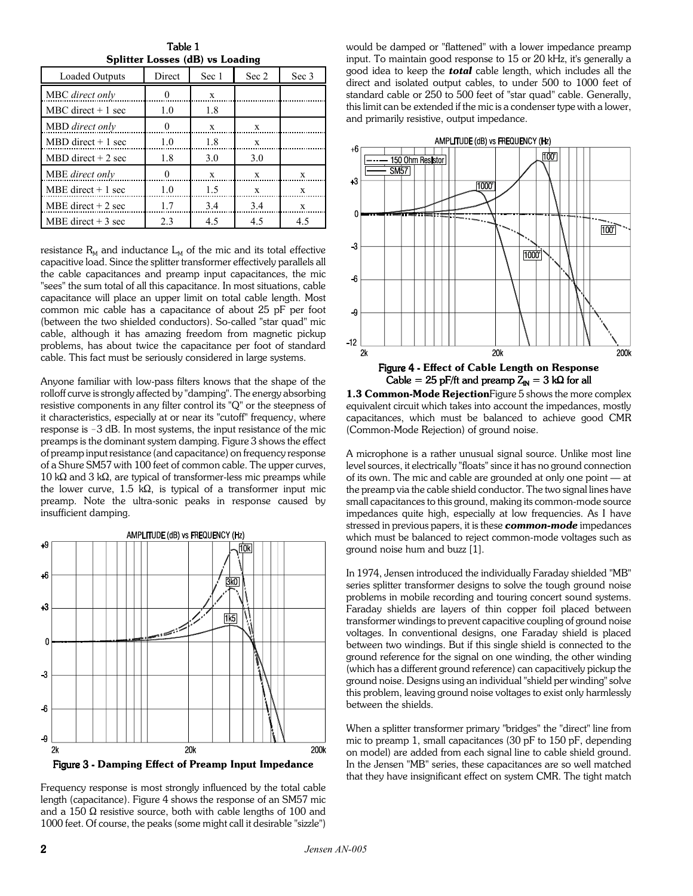Table 1 **Splitter Losses (dB) vs Loading**

| Loaded Outputs        | Direct | Sec 1 | Sec 2 | Sec 3 |
|-----------------------|--------|-------|-------|-------|
| MBC direct only       |        | X     |       |       |
| MBC direct $+1$ sec   | 1.0    | 1.8   |       |       |
| MBD direct only       | 0      | X     | X     |       |
| MBD direct $+1$ sec   | 1.0    | 1.8   | X     |       |
| $MBD$ direct $+2$ sec | 1.8    | 3.0   | 3.0   |       |
| MBE direct only       | 0      | X     | X     | X     |
| MBE direct $+1$ sec   | 1.0    | 1.5   | X     | X     |
| MBE direct $+2$ sec   | 1.7    | 3.4   | 3.4   | X     |
| MBE direct $+3$ sec   | 2.3    | 4.5   | 4.5   | 4.5   |

resistance  $R_M$  and inductance  $L_M$  of the mic and its total effective capacitive load. Since the splitter transformer effectively parallels all the cable capacitances and preamp input capacitances, the mic "sees" the sum total of all this capacitance. In most situations, cable capacitance will place an upper limit on total cable length. Most common mic cable has a capacitance of about 25 pF per foot (between the two shielded conductors). So-called "star quad" mic cable, although it has amazing freedom from magnetic pickup problems, has about twice the capacitance per foot of standard cable. This fact must be seriously considered in large systems.

Anyone familiar with low-pass filters knows that the shape of the rolloff curve is strongly affected by "damping". The energy absorbing resistive components in any filter control its "Q" or the steepness of it characteristics, especially at or near its "cutoff" frequency, where response is  $-3$  dB. In most systems, the input resistance of the mic preamps is the dominant system damping. Figure 3 shows the effect of preamp input resistance (and capacitance) on frequency response of a Shure SM57 with 100 feet of common cable. The upper curves,  $10 \text{ k}\Omega$  and 3 k $\Omega$ , are typical of transformer-less mic preamps while the lower curve, 1.5 k $\Omega$ , is typical of a transformer input mic preamp. Note the ultra-sonic peaks in response caused by insufficient damping.



Frequency response is most strongly influenced by the total cable length (capacitance). Figure 4 shows the response of an SM57 mic and a 150  $\Omega$  resistive source, both with cable lengths of 100 and 1000 feet. Of course, the peaks (some might call it desirable "sizzle")

would be damped or "flattened" with a lower impedance preamp input. To maintain good response to 15 or 20 kHz, it's generally a good idea to keep the *total* cable length, which includes all the direct and isolated output cables, to under 500 to 1000 feet of standard cable or 250 to 500 feet of "star quad" cable. Generally, this limit can be extended if the mic is a condenser type with a lower, and primarily resistive, output impedance.



**1.3 Common-Mode Rejection**Figure 5 shows the more complex equivalent circuit which takes into account the impedances, mostly capacitances, which must be balanced to achieve good CMR (Common-Mode Rejection) of ground noise.

A microphone is a rather unusual signal source. Unlike most line level sources, it electrically "floats" since it has no ground connection of its own. The mic and cable are grounded at only one point  $-$  at the preamp via the cable shield conductor. The two signal lines have small capacitances to this ground, making its common-mode source impedances quite high, especially at low frequencies. As I have stressed in previous papers, it is these *common-mode* impedances which must be balanced to reject common-mode voltages such as ground noise hum and buzz [1].

In 1974, Jensen introduced the individually Faraday shielded "MB" series splitter transformer designs to solve the tough ground noise problems in mobile recording and touring concert sound systems. Faraday shields are layers of thin copper foil placed between transformer windings to prevent capacitive coupling of ground noise voltages. In conventional designs, one Faraday shield is placed between two windings. But if this single shield is connected to the ground reference for the signal on one winding, the other winding (which has a different ground reference) can capacitively pickup the ground noise. Designs using an individual "shield per winding" solve this problem, leaving ground noise voltages to exist only harmlessly between the shields.

When a splitter transformer primary "bridges" the "direct" line from mic to preamp 1, small capacitances (30 pF to 150 pF, depending on model) are added from each signal line to cable shield ground. In the Jensen "MB" series, these capacitances are so well matched that they have insignificant effect on system CMR. The tight match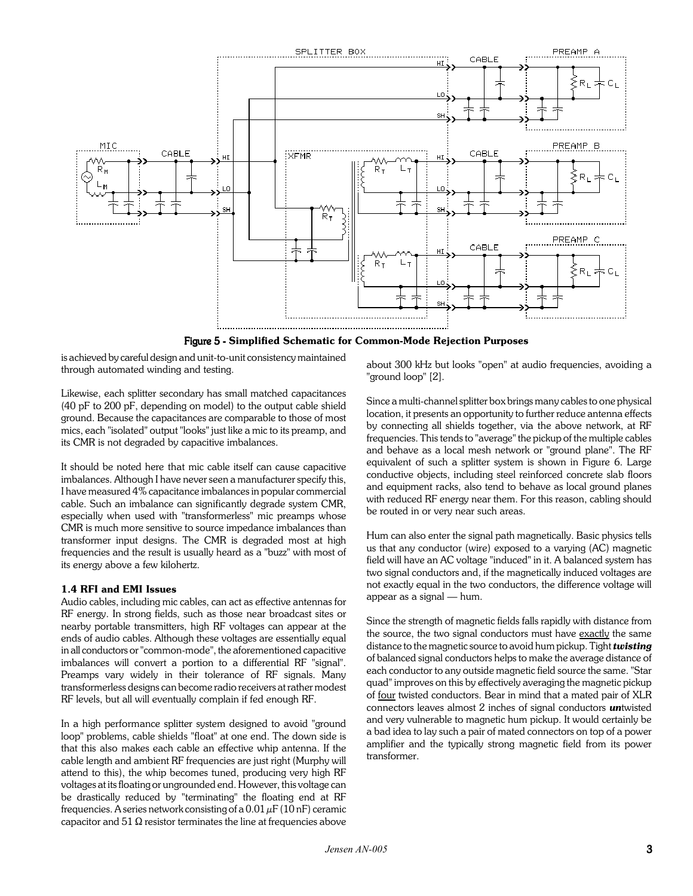

Figure 5 - **Simplified Schematic for Common-Mode Rejection Purposes**

is achieved by careful design and unit-to-unit consistency maintained through automated winding and testing.

Likewise, each splitter secondary has small matched capacitances (40 pF to 200 pF, depending on model) to the output cable shield ground. Because the capacitances are comparable to those of most mics, each "isolated" output "looks" just like a mic to its preamp, and its CMR is not degraded by capacitive imbalances.

It should be noted here that mic cable itself can cause capacitive imbalances. Although I have never seen a manufacturer specify this, I have measured 4% capacitance imbalances in popular commercial cable. Such an imbalance can significantly degrade system CMR, especially when used with "transformerless" mic preamps whose CMR is much more sensitive to source impedance imbalances than transformer input designs. The CMR is degraded most at high frequencies and the result is usually heard as a "buzz" with most of its energy above a few kilohertz.

#### **1.4 RFI and EMI Issues**

Audio cables, including mic cables, can act as effective antennas for RF energy. In strong fields, such as those near broadcast sites or nearby portable transmitters, high RF voltages can appear at the ends of audio cables. Although these voltages are essentially equal in all conductors or "common-mode", the aforementioned capacitive imbalances will convert a portion to a differential RF "signal". Preamps vary widely in their tolerance of RF signals. Many transformerless designs can become radio receivers at rather modest RF levels, but all will eventually complain if fed enough RF.

In a high performance splitter system designed to avoid "ground loop" problems, cable shields "float" at one end. The down side is that this also makes each cable an effective whip antenna. If the cable length and ambient RF frequencies are just right (Murphy will attend to this), the whip becomes tuned, producing very high RF voltages at its floating or ungrounded end. However, this voltage can be drastically reduced by "terminating" the floating end at RF frequencies. A series network consisting of a  $0.01 \mu$ F (10 nF) ceramic capacitor and 51  $\Omega$  resistor terminates the line at frequencies above about 300 kHz but looks "open" at audio frequencies, avoiding a "ground loop" [2].

Since a multi-channel splitter box brings many cables to one physical location, it presents an opportunity to further reduce antenna effects by connecting all shields together, via the above network, at RF frequencies. This tends to "average" the pickup of the multiple cables and behave as a local mesh network or "ground plane". The RF equivalent of such a splitter system is shown in Figure 6. Large conductive objects, including steel reinforced concrete slab floors and equipment racks, also tend to behave as local ground planes with reduced RF energy near them. For this reason, cabling should be routed in or very near such areas.

Hum can also enter the signal path magnetically. Basic physics tells us that any conductor (wire) exposed to a varying (AC) magnetic field will have an AC voltage "induced" in it. A balanced system has two signal conductors and, if the magnetically induced voltages are not exactly equal in the two conductors, the difference voltage will appear as a signal  $-$  hum.

Since the strength of magnetic fields falls rapidly with distance from the source, the two signal conductors must have exactly the same distance to the magnetic source to avoid hum pickup. Tight *twisting* of balanced signal conductors helps to make the average distance of each conductor to any outside magnetic field source the same. "Star quad" improves on this by effectively averaging the magnetic pickup of four twisted conductors. Bear in mind that a mated pair of XLR connectors leaves almost 2 inches of signal conductors *un*twisted and very vulnerable to magnetic hum pickup. It would certainly be a bad idea to lay such a pair of mated connectors on top of a power amplifier and the typically strong magnetic field from its power transformer.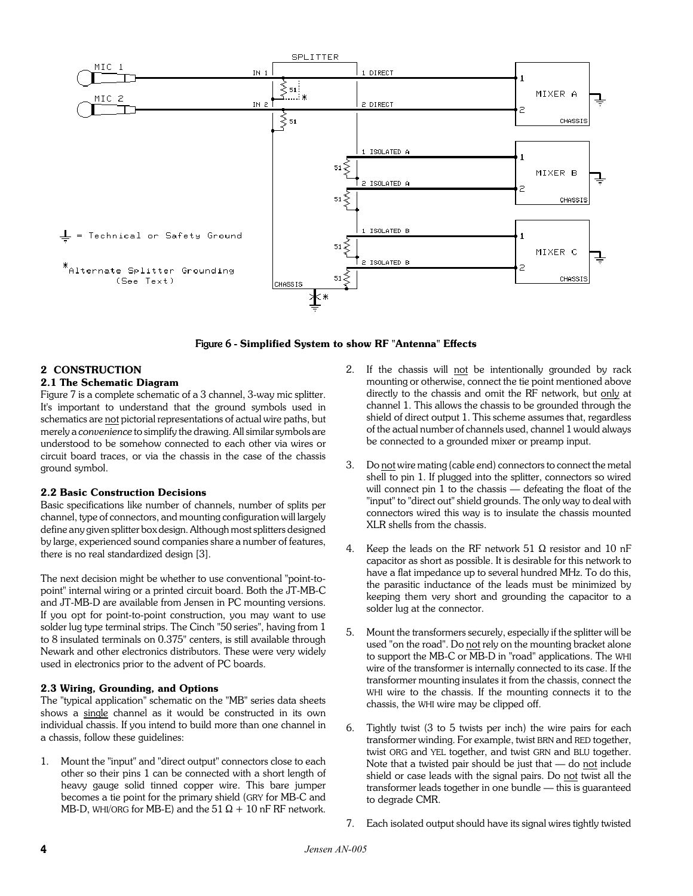

Figure 6 - **Simplified System to show RF "Antenna" Effects**

# **2 CONSTRUCTION**

### **2.1 The Schematic Diagram**

Figure 7 is a complete schematic of a 3 channel, 3-way mic splitter. It's important to understand that the ground symbols used in schematics are not pictorial representations of actual wire paths, but merely a *convenience* to simplify the drawing. All similar symbols are understood to be somehow connected to each other via wires or circuit board traces, or via the chassis in the case of the chassis ground symbol.

# **2.2 Basic Construction Decisions**

Basic specifications like number of channels, number of splits per channel, type of connectors, and mounting configuration will largely define any given splitter box design. Although most splitters designed by large, experienced sound companies share a number of features, there is no real standardized design [3].

The next decision might be whether to use conventional "point-topoint" internal wiring or a printed circuit board. Both the JT-MB-C and JT-MB-D are available from Jensen in PC mounting versions. If you opt for point-to-point construction, you may want to use solder lug type terminal strips. The Cinch "50 series", having from 1 to 8 insulated terminals on 0.375" centers, is still available through Newark and other electronics distributors. These were very widely used in electronics prior to the advent of PC boards.

#### **2.3 Wiring, Grounding, and Options**

The "typical application" schematic on the "MB" series data sheets shows a single channel as it would be constructed in its own individual chassis. If you intend to build more than one channel in a chassis, follow these guidelines:

1. Mount the "input" and "direct output" connectors close to each other so their pins 1 can be connected with a short length of heavy gauge solid tinned copper wire. This bare jumper becomes a tie point for the primary shield (GRY for MB-C and MB-D, WHI/ORG for MB-E) and the 51  $\Omega$  + 10 nF RF network.

- 2. If the chassis will not be intentionally grounded by rack mounting or otherwise, connect the tie point mentioned above directly to the chassis and omit the RF network, but only at channel 1. This allows the chassis to be grounded through the shield of direct output 1. This scheme assumes that, regardless of the actual number of channels used, channel 1 would always be connected to a grounded mixer or preamp input.
- 3. Do not wire mating (cable end) connectors to connect the metal shell to pin 1. If plugged into the splitter, connectors so wired will connect pin  $1$  to the chassis  $-$  defeating the float of the "input" to "direct out" shield grounds. The only way to deal with connectors wired this way is to insulate the chassis mounted XLR shells from the chassis.
- 4. Keep the leads on the RF network 51  $\Omega$  resistor and 10 nF capacitor as short as possible. It is desirable for this network to have a flat impedance up to several hundred MHz. To do this, the parasitic inductance of the leads must be minimized by keeping them very short and grounding the capacitor to a solder lug at the connector.
- 5. Mount the transformers securely, especially if the splitter will be used "on the road". Do not rely on the mounting bracket alone to support the MB-C or MB-D in "road" applications. The WHI wire of the transformer is internally connected to its case. If the transformer mounting insulates it from the chassis, connect the WHI wire to the chassis. If the mounting connects it to the chassis, the WHI wire may be clipped off.
- 6. Tightly twist (3 to 5 twists per inch) the wire pairs for each transformer winding. For example, twist BRN and RED together, twist ORG and YEL together, and twist GRN and BLU together. Note that a twisted pair should be just that  $-$  do not include shield or case leads with the signal pairs. Do not twist all the transformer leads together in one bundle — this is guaranteed to degrade CMR.
- 7. Each isolated output should have its signal wires tightly twisted